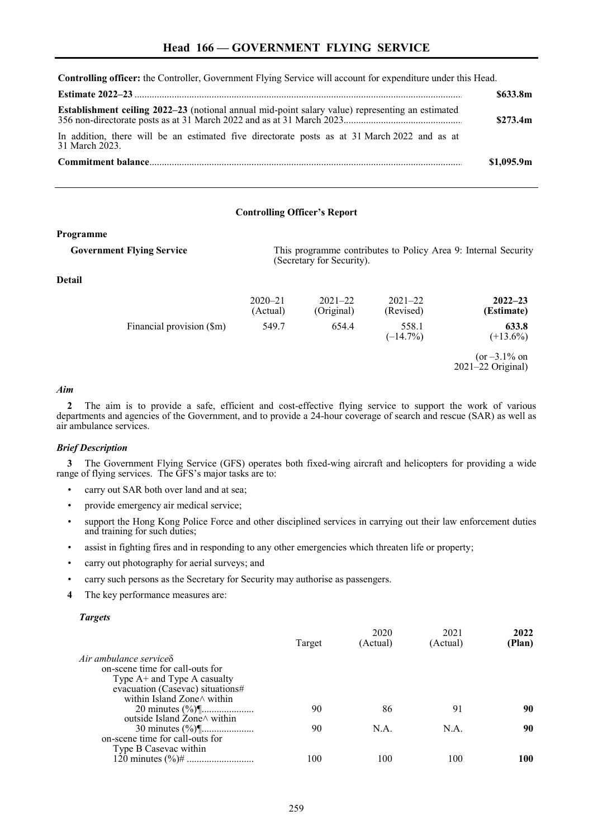**Controlling officer:** the Controller, Government Flying Service will account for expenditure under this Head.

|                                                                                                                | \$633.8m   |
|----------------------------------------------------------------------------------------------------------------|------------|
|                                                                                                                | \$273.4m   |
| In addition, there will be an estimated five directorate posts as at 31 March 2022 and as at<br>31 March 2023. |            |
|                                                                                                                | \$1.095.9m |

## **Controlling Officer's Report**

## **Programme**

**Government Flying Service** This programme contributes to Policy Area 9: Internal Security

## **Detail**

|                           | $2020 - 21$<br>(Actual) | $2021 - 22$<br>(Original) | $2021 - 22$<br>(Revised) | $2022 - 23$<br>(Estimate)                |
|---------------------------|-------------------------|---------------------------|--------------------------|------------------------------------------|
| Financial provision (\$m) | 549.7                   | 654.4                     | 558.1<br>$(-14.7\%)$     | 633.8<br>$(+13.6\%)$                     |
|                           |                         |                           |                          | $(or -3.1\% on$<br>$2021 - 22$ Original) |

(Secretary for Security).

## *Aim*

**2** The aim is to provide a safe, efficient and cost-effective flying service to support the work of various departments and agencies of the Government, and to provide a 24-hour coverage of search and rescue (SAR) as well as air ambulance services.

#### *Brief Description*

**3** The Government Flying Service (GFS) operates both fixed-wing aircraft and helicopters for providing a wide range of flying services. The GFS's major tasks are to:

- carry out SAR both over land and at sea;
- provide emergency air medical service;
- support the Hong Kong Police Force and other disciplined services in carrying out their law enforcement duties and training for such duties;
- assist in fighting fires and in responding to any other emergencies which threaten life or property;
- carry out photography for aerial surveys; and
- carry such persons as the Secretary for Security may authorise as passengers.
- **4** The key performance measures are:

#### *Targets*

|                                    | Target | 2020<br>(Actual) | 2021<br>(Actual) | 2022<br>(Plan) |
|------------------------------------|--------|------------------|------------------|----------------|
| Air ambulance service $\delta$     |        |                  |                  |                |
| on-scene time for call-outs for    |        |                  |                  |                |
| Type $A$ + and Type A casualty     |        |                  |                  |                |
| evacuation (Casevac) situations#   |        |                  |                  |                |
| within Island Zone $\land$ within  |        |                  |                  |                |
|                                    | 90     | 86               | 91               | 90             |
| outside Island Zone $\land$ within |        |                  |                  |                |
|                                    | 90     | N.A.             | N.A.             | 90             |
| on-scene time for call-outs for    |        |                  |                  |                |
| Type B Casevac within              |        |                  |                  |                |
|                                    | 100    | 100              | 100              | 100            |
|                                    |        |                  |                  |                |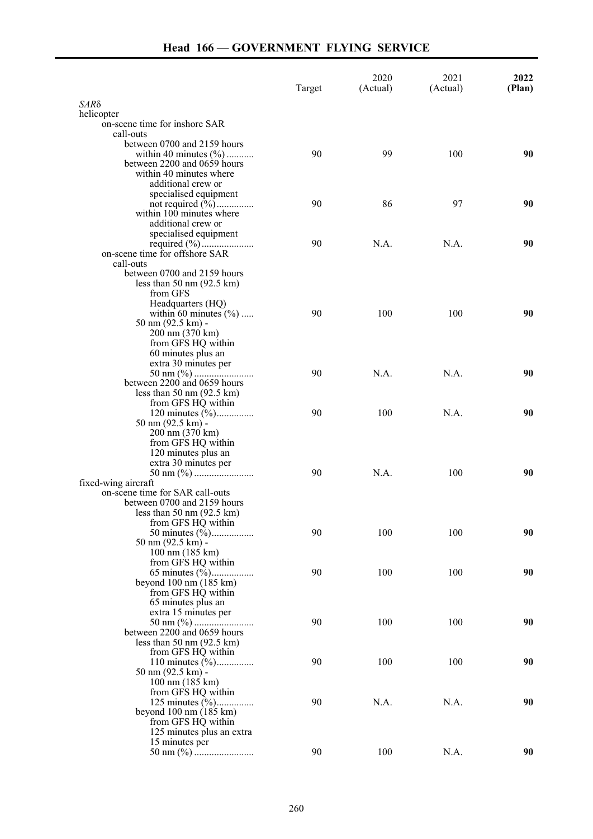# **Head 166 — GOVERNMENT FLYING SERVICE**

|                                                           | Target | 2020<br>(Actual) | 2021<br>(Actual) | 2022<br>(Plan) |
|-----------------------------------------------------------|--------|------------------|------------------|----------------|
| SARδ                                                      |        |                  |                  |                |
| helicopter                                                |        |                  |                  |                |
| on-scene time for inshore SAR<br>call-outs                |        |                  |                  |                |
| between 0700 and 2159 hours                               |        |                  |                  |                |
| within 40 minutes $(\% )$                                 | 90     | 99               | 100              | 90             |
| between 2200 and 0659 hours                               |        |                  |                  |                |
| within 40 minutes where                                   |        |                  |                  |                |
| additional crew or                                        |        |                  |                  |                |
| specialised equipment                                     |        |                  |                  |                |
| within $100$ minutes where                                | 90     | 86               | 97               | 90             |
| additional crew or                                        |        |                  |                  |                |
| specialised equipment                                     |        |                  |                  |                |
|                                                           | 90     | N.A.             | N.A.             | 90             |
| on-scene time for offshore SAR                            |        |                  |                  |                |
| call-outs                                                 |        |                  |                  |                |
| between 0700 and 2159 hours                               |        |                  |                  |                |
| less than $50 \text{ nm}$ (92.5 km)<br>from GFS           |        |                  |                  |                |
| Headquarters (HQ)                                         |        |                  |                  |                |
| within 60 minutes $(\% )$                                 | 90     | 100              | 100              | 90             |
| $50 \text{ nm} (92.5 \text{ km})$ -                       |        |                  |                  |                |
| 200 nm (370 km)                                           |        |                  |                  |                |
| from GFS HQ within                                        |        |                  |                  |                |
| 60 minutes plus an                                        |        |                  |                  |                |
| extra 30 minutes per                                      | 90     | N.A.             | N.A.             | 90             |
| between 2200 and 0659 hours                               |        |                  |                  |                |
| less than $50 \text{ nm}$ (92.5 km)                       |        |                  |                  |                |
| from GFS HQ within                                        |        |                  |                  |                |
|                                                           | 90     | 100              | N.A.             | 90             |
| $50 \text{ nm} (92.5 \text{ km})$ -                       |        |                  |                  |                |
| 200 nm (370 km)                                           |        |                  |                  |                |
| from GFS HQ within<br>120 minutes plus an                 |        |                  |                  |                |
| extra 30 minutes per                                      |        |                  |                  |                |
|                                                           | 90     | N.A.             | 100              | 90             |
| fixed-wing aircraft                                       |        |                  |                  |                |
| on-scene time for SAR call-outs                           |        |                  |                  |                |
| between 0700 and 2159 hours                               |        |                  |                  |                |
| less than $50 \text{ nm}$ (92.5 km)<br>from GFS HQ within |        |                  |                  |                |
|                                                           | 90     | 100              | 100              | 90             |
| 50 nm (92.5 km) -                                         |        |                  |                  |                |
| 100 nm (185 km)                                           |        |                  |                  |                |
| from GFS HQ within                                        |        |                  |                  |                |
|                                                           | 90     | 100              | 100              | 90             |
| beyond $100 \text{ nm}$ $(185 \text{ km})$                |        |                  |                  |                |
| from GFS HQ within<br>65 minutes plus an                  |        |                  |                  |                |
| extra 15 minutes per                                      |        |                  |                  |                |
|                                                           | 90     | 100              | 100              | 90             |
| between 2200 and 0659 hours                               |        |                  |                  |                |
| less than $50 \text{ nm}$ (92.5 km)                       |        |                  |                  |                |
| from GFS HQ within                                        |        |                  | 100              |                |
| 110 minutes $(\frac{6}{6})$<br>50 nm (92.5 km) -          | 90     | 100              |                  | 90             |
| $100 \text{ nm}$ (185 km)                                 |        |                  |                  |                |
| from GFS HQ within                                        |        |                  |                  |                |
|                                                           | 90     | N.A.             | N.A.             | 90             |
| beyond $100 \text{ nm}$ $(185 \text{ km})$                |        |                  |                  |                |
| from GFS HQ within                                        |        |                  |                  |                |
| 125 minutes plus an extra<br>15 minutes per               |        |                  |                  |                |
|                                                           | 90     | 100              | N.A.             | 90             |
|                                                           |        |                  |                  |                |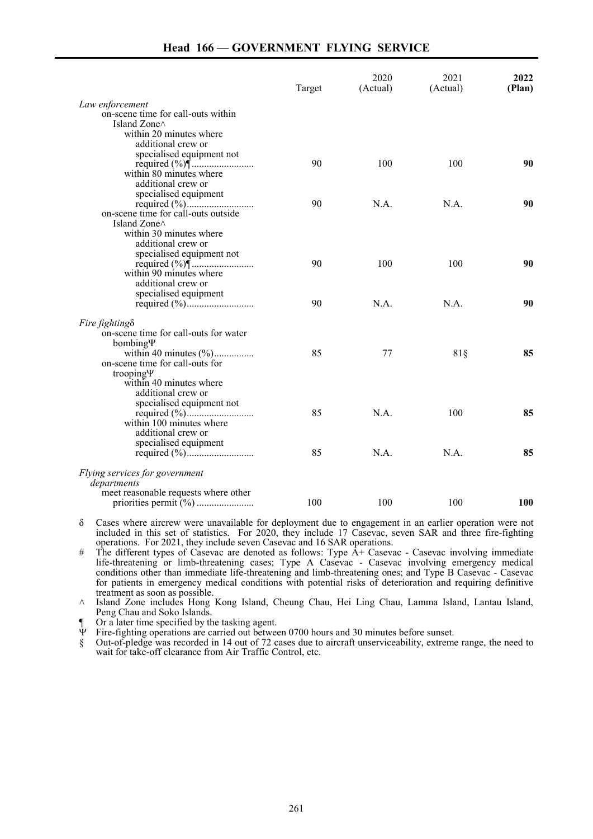# **Head 166 — GOVERNMENT FLYING SERVICE**

|                                                            | Target | 2020<br>(Actual) | 2021<br>(Actual) | 2022<br>(Plan) |
|------------------------------------------------------------|--------|------------------|------------------|----------------|
|                                                            |        |                  |                  |                |
| Law enforcement                                            |        |                  |                  |                |
| on-scene time for call-outs within<br>Island Zone $\wedge$ |        |                  |                  |                |
| within 20 minutes where                                    |        |                  |                  |                |
| additional crew or                                         |        |                  |                  |                |
| specialised equipment not                                  |        |                  |                  |                |
|                                                            | 90     | 100              | 100              | 90             |
| within 80 minutes where                                    |        |                  |                  |                |
| additional crew or                                         |        |                  |                  |                |
| specialised equipment                                      |        |                  |                  |                |
|                                                            | 90     | N.A.             | N.A.             | 90             |
| on-scene time for call-outs outside                        |        |                  |                  |                |
| Island Zone $\wedge$                                       |        |                  |                  |                |
| within 30 minutes where                                    |        |                  |                  |                |
| additional crew or                                         |        |                  |                  |                |
| specialised equipment not                                  |        |                  |                  |                |
|                                                            | 90     | 100              | 100              | 90             |
| within 90 minutes where                                    |        |                  |                  |                |
| additional crew or                                         |        |                  |                  |                |
| specialised equipment                                      |        |                  |                  |                |
|                                                            | 90     | N.A.             | N.A.             | 90             |
| Fire fighting $\delta$                                     |        |                  |                  |                |
| on-scene time for call-outs for water                      |        |                  |                  |                |
| bombingY                                                   |        |                  |                  |                |
|                                                            | 85     | 77               | 81§              | 85             |
| on-scene time for call-outs for                            |        |                  |                  |                |
| trooping $\Psi$                                            |        |                  |                  |                |
| within 40 minutes where                                    |        |                  |                  |                |
| additional crew or                                         |        |                  |                  |                |
| specialised equipment not                                  |        |                  |                  |                |
|                                                            | 85     | N.A.             | 100              | 85             |
| within 100 minutes where                                   |        |                  |                  |                |
| additional crew or                                         |        |                  |                  |                |
| specialised equipment                                      |        |                  |                  |                |
|                                                            | 85     | N.A.             | N.A.             | 85             |
| Flying services for government                             |        |                  |                  |                |
| departments                                                |        |                  |                  |                |
| meet reasonable requests where other                       |        |                  |                  |                |
|                                                            | 100    | 100              | 100              | 100            |
|                                                            |        |                  |                  |                |

δ Cases where aircrew were unavailable for deployment due to engagement in an earlier operation were not included in this set of statistics. For 2020, they include 17 Casevac, seven SAR and three fire-fighting operations. For 2021, they include seven Casevac and 16 SAR operations.

 $\#$  The different types of Casevac are denoted as follows: Type  $\overline{A}$ + Casevac - Casevac involving immediate life-threatening or limb-threatening cases; Type A Casevac - Casevac involving emergency medical conditions other than immediate life-threatening and limb-threatening ones; and Type B Casevac - Casevac for patients in emergency medical conditions with potential risks of deterioration and requiring definitive treatment as soon as possible.

 $\land$  Island Zone includes Hong Kong Island, Cheung Chau, Hei Ling Chau, Lamma Island, Lantau Island, Peng Chau and Soko Islands.

Or a later time specified by the tasking agent.

Ψ Fire-fighting operations are carried out between 0700 hours and 30 minutes before sunset.

§ Out-of-pledge was recorded in 14 out of 72 cases due to aircraft unserviceability, extreme range, the need to wait for take-off clearance from Air Traffic Control, etc.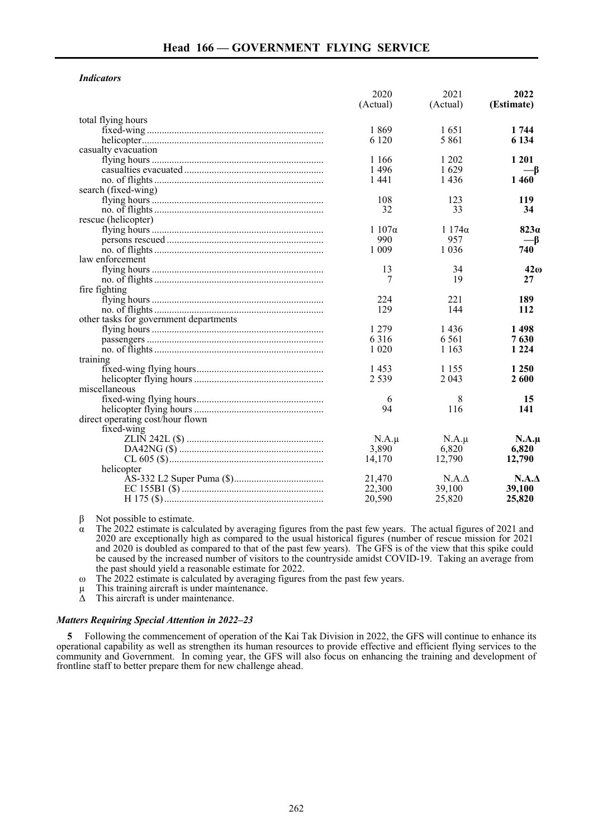## *Indicators*

|                                        | 2020<br>(Actual) | 2021<br>(Actual) | 2022<br>(Estimate) |
|----------------------------------------|------------------|------------------|--------------------|
|                                        |                  |                  |                    |
| total flying hours                     |                  |                  |                    |
|                                        | 1869             | 1651             | 1 744              |
|                                        | 6 1 2 0          | 5 8 6 1          | 6 1 3 4            |
| casualty evacuation                    |                  |                  |                    |
|                                        | 1 166            | 1 202            | 1 201              |
|                                        | 1496             | 1629             | —β                 |
|                                        | 1441             | 1436             | 1 4 6 0            |
| search (fixed-wing)                    |                  |                  |                    |
|                                        | 108              | 123              | 119                |
|                                        | 32               | 33               | 34                 |
| rescue (helicopter)                    |                  |                  |                    |
|                                        | $1107\alpha$     | $1174\alpha$     | 823a               |
|                                        | 990              | 957              | —β                 |
|                                        | 1 0 0 9          | 1 0 3 6          | 740                |
| law enforcement                        |                  |                  |                    |
|                                        | 13               | 34               | $42\omega$         |
|                                        | 7                | 19               | 27                 |
| fire fighting                          |                  |                  |                    |
|                                        | 224              | 221              | 189                |
|                                        | 129              | 144              | 112                |
| other tasks for government departments |                  |                  |                    |
|                                        | 1 2 7 9          | 1436             | 1498               |
|                                        | 6316             | 6 5 6 1          | 7630               |
|                                        | 1 0 2 0          | 1 1 6 3          | 1 2 2 4            |
| training                               |                  |                  |                    |
|                                        | 1453             | 1 1 5 5          | 1 250              |
|                                        | 2 5 3 9          | 2 0 4 3          | 2600               |
| miscellaneous                          |                  |                  |                    |
|                                        | 6                | 8                | 15                 |
|                                        | 94               | 116              | 141                |
| direct operating cost/hour flown       |                  |                  |                    |
| fixed-wing                             |                  |                  |                    |
|                                        | $N.A.\mu$        | $N.A.\mu$        | $N.A.\mu$          |
|                                        | 3,890            | 6,820            | 6.820              |
|                                        | 14,170           | 12,790           | 12,790             |
| helicopter                             |                  |                  |                    |
|                                        | 21,470           | $N.A.\Delta$     | N.A.A              |
|                                        | 22,300           | 39,100           | 39,100             |
|                                        | 20,590           | 25,820           | 25,820             |

 $β$  Not possible to estimate.

α The 2022 estimate is calculated by averaging figures from the past few years. The actual figures of 2021 and 2020 are exceptionally high as compared to the usual historical figures (number of rescue mission for 2021 and 2020 is doubled as compared to that of the past few years). The GFS is of the view that this spike could be caused by the increased number of visitors to the countryside amidst COVID-19. Taking an average from the past should yield a reasonable estimate for 2022.

ω The 2022 estimate is calculated by averaging figures from the past few years.

 $\mu$  This training aircraft is under maintenance.<br> $\Delta$  This aircraft is under maintenance.

This aircraft is under maintenance.

#### *Matters Requiring Special Attention in 2022–23*

**5** Following the commencement of operation of the Kai Tak Division in 2022, the GFS will continue to enhance its operational capability as well as strengthen its human resources to provide effective and efficient flying services to the community and Government. In coming year, the GFS will also focus on enhancing the training and development of frontline staff to better prepare them for new challenge ahead.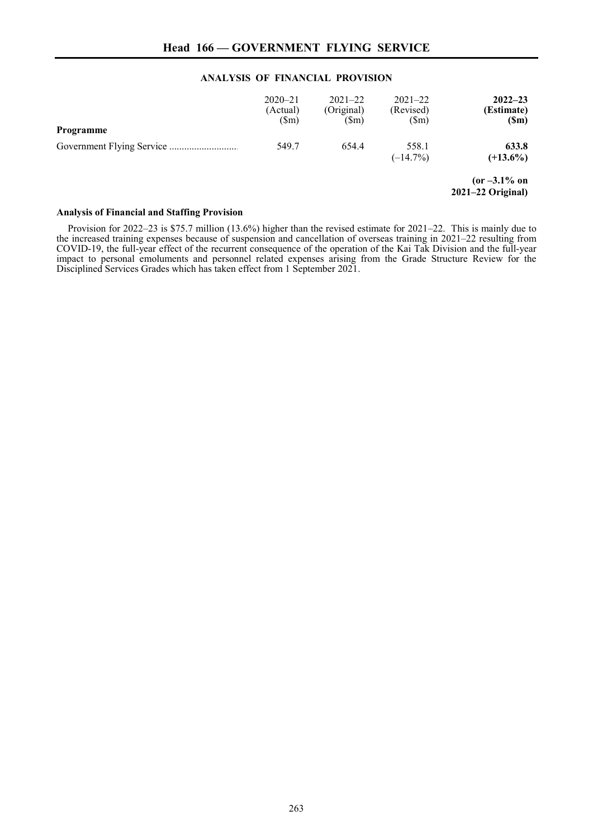## **ANALYSIS OF FINANCIAL PROVISION**

| Programme | $2020 - 21$<br>(Actual)<br>$(\text{Sm})$ | $2021 - 22$<br>(Original)<br>(Sm) | $2021 - 22$<br>(Revised)<br>(Sm) | $2022 - 23$<br>(Estimate)<br>(Sm)      |
|-----------|------------------------------------------|-----------------------------------|----------------------------------|----------------------------------------|
|           | 549.7                                    | 654.4                             | 558.1<br>$(-14.7%)$              | 633.8<br>$(+13.6\%)$                   |
|           |                                          |                                   |                                  | $(or -3.1\% on$<br>$2021-22$ Original) |

## **Analysis of Financial and Staffing Provision**

Provision for 2022–23 is \$75.7 million (13.6%) higher than the revised estimate for 2021–22. This is mainly due to the increased training expenses because of suspension and cancellation of overseas training in 2021–22 resulting from COVID-19, the full-year effect of the recurrent consequence of the operation of the Kai Tak Division and the full-year impact to personal emoluments and personnel related expenses arising from the Grade Structure Review for the Disciplined Services Grades which has taken effect from 1 September 2021.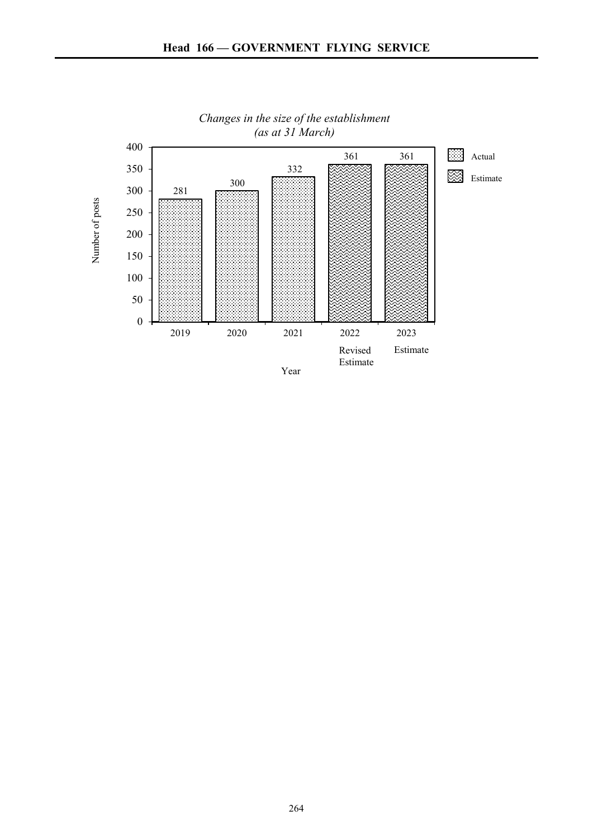

# *Changes in the size of the establishment (as at 31 March)*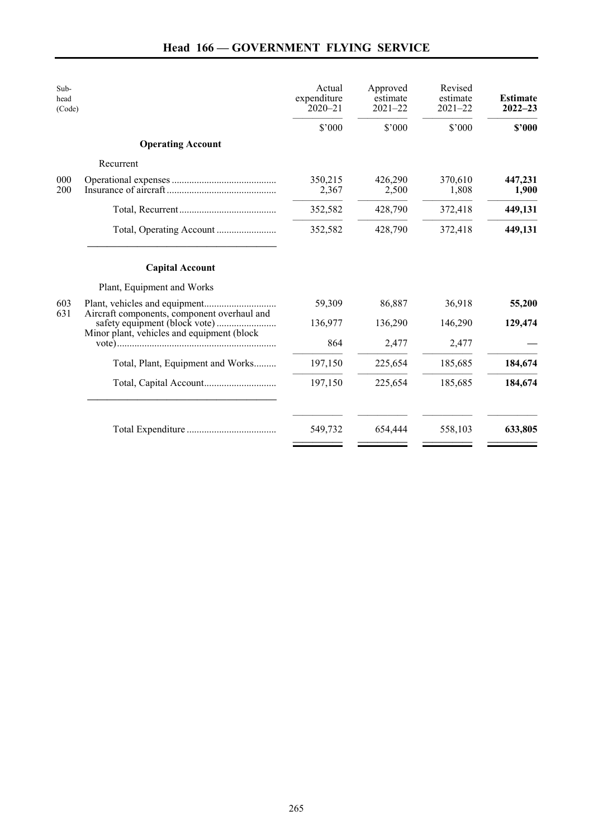| Sub-<br>head<br>(Code) |                                                                              | Actual<br>expenditure<br>$2020 - 21$ | Approved<br>estimate<br>$2021 - 22$ | Revised<br>estimate<br>$2021 - 22$ | <b>Estimate</b><br>$2022 - 23$ |
|------------------------|------------------------------------------------------------------------------|--------------------------------------|-------------------------------------|------------------------------------|--------------------------------|
|                        |                                                                              | \$'000                               | \$'000                              | \$'000                             | \$2000                         |
|                        | <b>Operating Account</b>                                                     |                                      |                                     |                                    |                                |
|                        | Recurrent                                                                    |                                      |                                     |                                    |                                |
| 000<br>200             |                                                                              | 350,215<br>2,367                     | 426,290<br>2,500                    | 370,610<br>1,808                   | 447,231<br>1,900               |
|                        |                                                                              | 352,582                              | 428,790                             | 372,418                            | 449,131                        |
|                        |                                                                              | 352,582                              | 428,790                             | 372,418                            | 449,131                        |
|                        | <b>Capital Account</b>                                                       |                                      |                                     |                                    |                                |
|                        | Plant, Equipment and Works                                                   |                                      |                                     |                                    |                                |
| 603<br>631             |                                                                              | 59,309                               | 86,887                              | 36,918                             | 55,200                         |
|                        | Aircraft components, component overhaul and<br>safety equipment (block vote) | 136,977                              | 136,290                             | 146,290                            | 129,474                        |
|                        | Minor plant, vehicles and equipment (block                                   | 864                                  | 2,477                               | 2,477                              |                                |
|                        | Total, Plant, Equipment and Works                                            | 197,150                              | 225,654                             | 185,685                            | 184,674                        |
|                        |                                                                              | 197,150                              | 225,654                             | 185,685                            | 184,674                        |
|                        |                                                                              | 549,732                              | 654,444                             | 558,103                            | 633,805                        |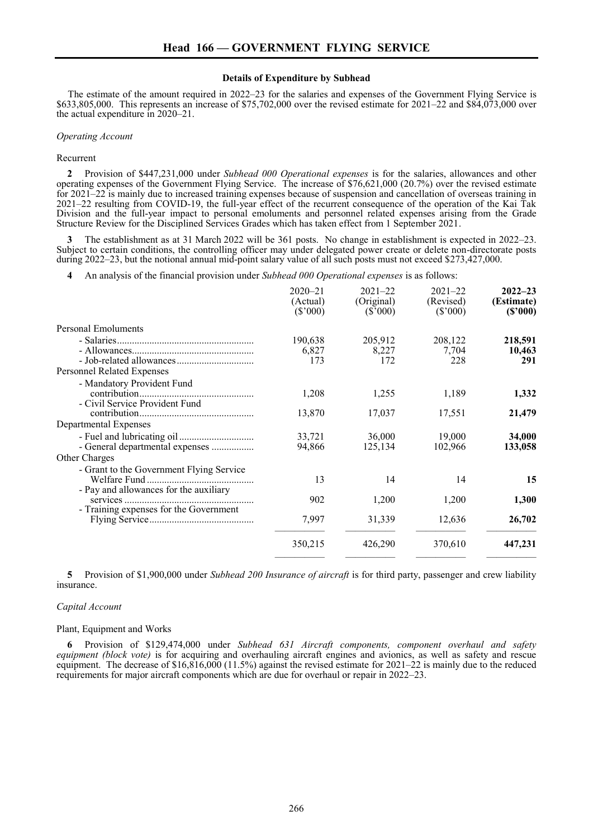#### **Details of Expenditure by Subhead**

The estimate of the amount required in 2022–23 for the salaries and expenses of the Government Flying Service is \$633,805,000. This represents an increase of \$75,702,000 over the revised estimate for 2021–22 and \$84,073,000 over the actual expenditure in 2020–21.

#### *Operating Account*

#### Recurrent

**2** Provision of \$447,231,000 under *Subhead 000 Operational expenses* is for the salaries, allowances and other operating expenses of the Government Flying Service. The increase of \$76,621,000 (20.7%) over the revised estimate for 2021–22 is mainly due to increased training expenses because of suspension and cancellation of overseas training in 2021–22 resulting from COVID-19, the full-year effect of the recurrent consequence of the operation of the Kai Tak Division and the full-year impact to personal emoluments and personnel related expenses arising from the Grade Structure Review for the Disciplined Services Grades which has taken effect from 1 September 2021.

**3** The establishment as at 31 March 2022 will be 361 posts. No change in establishment is expected in 2022–23. Subject to certain conditions, the controlling officer may under delegated power create or delete non-directorate posts during 2022–23, but the notional annual mid-point salary value of all such posts must not exceed \$273,427,000.

**4** An analysis of the financial provision under *Subhead 000 Operational expenses* is as follows:

|                                                                                  | $2020 - 21$<br>(Actual)<br>(\$'000) | $2021 - 22$<br>(Original)<br>(S'000) | $2021 - 22$<br>(Revised)<br>(S'000) | $2022 - 23$<br>(Estimate)<br>(S'000) |
|----------------------------------------------------------------------------------|-------------------------------------|--------------------------------------|-------------------------------------|--------------------------------------|
| Personal Emoluments                                                              |                                     |                                      |                                     |                                      |
| <b>Personnel Related Expenses</b>                                                | 190,638<br>6,827<br>173             | 205,912<br>8,227<br>172              | 208,122<br>7,704<br>228             | 218,591<br>10,463<br>291             |
| - Mandatory Provident Fund<br>- Civil Service Provident Fund                     | 1,208                               | 1,255                                | 1,189                               | 1,332                                |
| Departmental Expenses                                                            | 13,870                              | 17,037                               | 17,551                              | 21,479                               |
| - General departmental expenses                                                  | 33,721<br>94,866                    | 36,000<br>125,134                    | 19,000<br>102,966                   | 34,000<br>133,058                    |
| Other Charges                                                                    |                                     |                                      |                                     |                                      |
| - Grant to the Government Flying Service                                         | 13                                  | 14                                   | 14                                  | 15                                   |
| - Pay and allowances for the auxiliary<br>- Training expenses for the Government | 902                                 | 1,200                                | 1,200                               | 1,300                                |
|                                                                                  | 7,997                               | 31,339                               | 12,636                              | 26,702                               |
|                                                                                  | 350,215                             | 426,290                              | 370,610                             | 447,231                              |
|                                                                                  |                                     |                                      |                                     |                                      |

**5** Provision of \$1,900,000 under *Subhead 200 Insurance of aircraft* is for third party, passenger and crew liability insurance.

#### *Capital Account*

#### Plant, Equipment and Works

**6** Provision of \$129,474,000 under *Subhead 631 Aircraft components, component overhaul and safety equipment (block vote)* is for acquiring and overhauling aircraft engines and avionics, as well as safety and rescue equipment. The decrease of \$16,816,000 (11.5%) against the revised estimate for 2021–22 is mainly due to the reduced requirements for major aircraft components which are due for overhaul or repair in 2022–23.